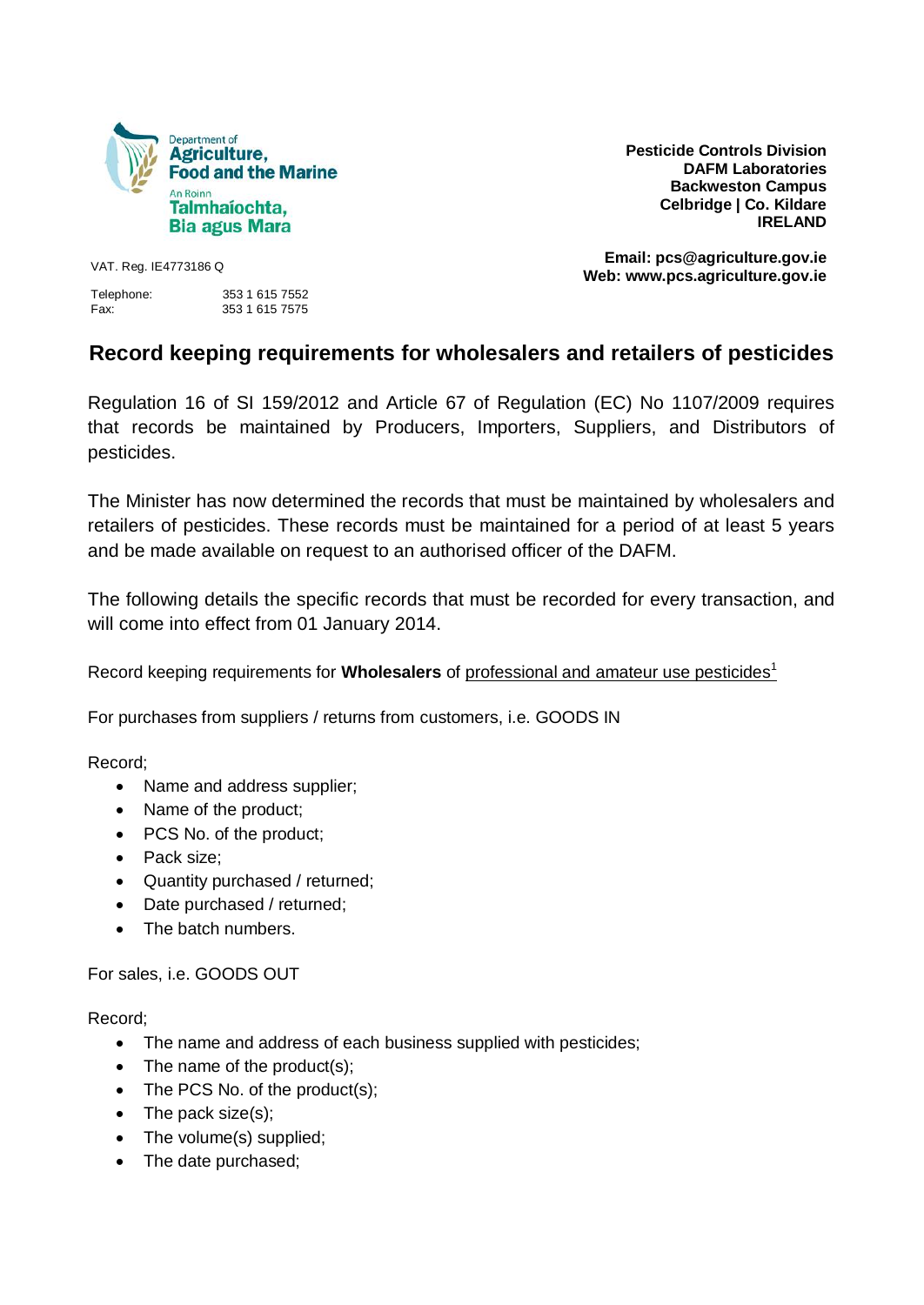

**Pesticide Controls Division DAFM Laboratories Backweston Campus Celbridge | Co. Kildare IRELAND**

Telephone: 353 1 615 7552 Fax: 353 1 615 7575

**Email: pcs@agriculture.gov.ie Web: www.pcs.agriculture.gov.ie** VAT. Reg. IE4773186 Q

## **Record keeping requirements for wholesalers and retailers of pesticides**

Regulation 16 of SI 159/2012 and Article 67 of Regulation (EC) No 1107/2009 requires that records be maintained by Producers, Importers, Suppliers, and Distributors of pesticides.

The Minister has now determined the records that must be maintained by wholesalers and retailers of pesticides. These records must be maintained for a period of at least 5 years and be made available on request to an authorised officer of the DAFM.

The following details the specific records that must be recorded for every transaction, and will come into effect from 01 January 2014.

Record keeping requirements for **Wholesalers** of professional and amateur use pesticides<sup>1</sup>

For purchases from suppliers / returns from customers, i.e. GOODS IN

Record;

- Name and address supplier;
- Name of the product;
- PCS No. of the product;
- Pack size:
- Quantity purchased / returned;
- Date purchased / returned;
- The batch numbers.

For sales, i.e. GOODS OUT

Record;

- The name and address of each business supplied with pesticides;
- $\bullet$  The name of the product(s);
- The PCS No. of the product(s);
- $\bullet$  The pack size(s);
- The volume(s) supplied;
- The date purchased;